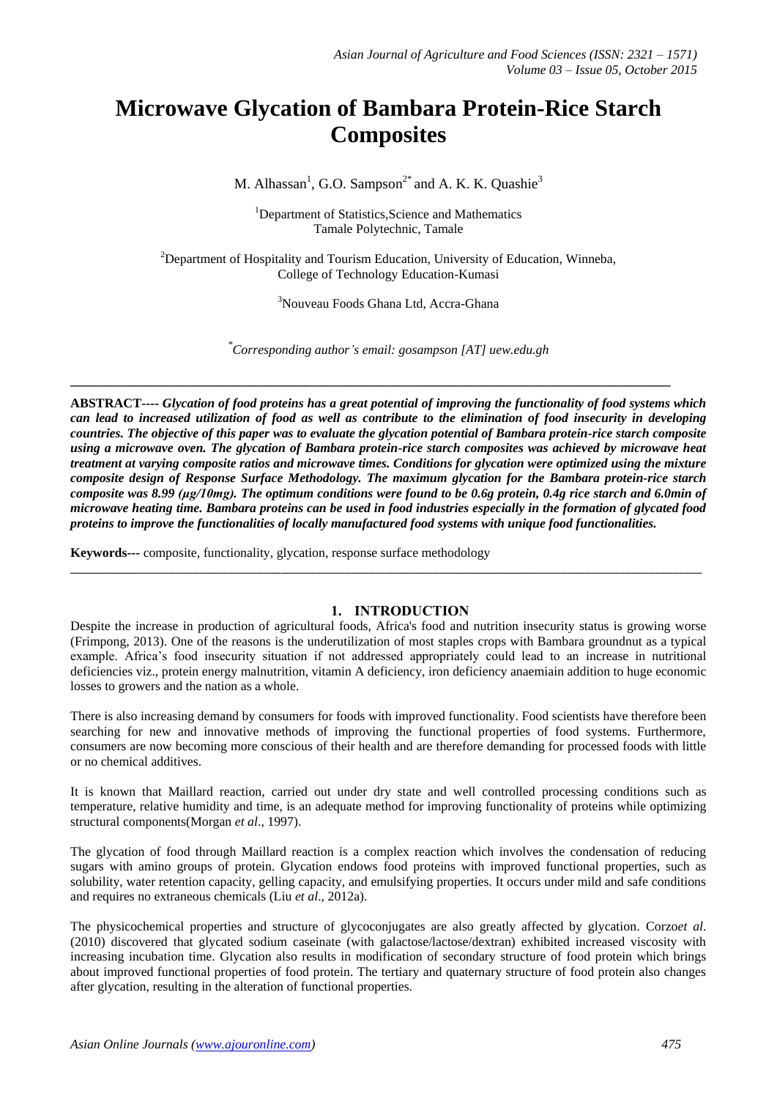# **Microwave Glycation of Bambara Protein-Rice Starch Composites**

M. Alhassan<sup>1</sup>, G.O. Sampson<sup>2\*</sup> and A. K. K. Quashie<sup>3</sup>

<sup>1</sup>Department of Statistics, Science and Mathematics Tamale Polytechnic, Tamale

 $2D$ epartment of Hospitality and Tourism Education, University of Education, Winneba, College of Technology Education-Kumasi

<sup>3</sup>Nouveau Foods Ghana Ltd, Accra-Ghana

*\*Corresponding author's email: gosampson [AT] uew.edu.gh*

**\_\_\_\_\_\_\_\_\_\_\_\_\_\_\_\_\_\_\_\_\_\_\_\_\_\_\_\_\_\_\_\_\_\_\_\_\_\_\_\_\_\_\_\_\_\_\_\_\_\_\_\_\_\_\_\_\_\_\_\_\_\_\_\_\_\_\_\_\_\_\_\_\_\_\_\_\_\_\_\_\_\_\_\_\_\_\_\_\_\_\_\_**

**ABSTRACT----** *Glycation of food proteins has a great potential of improving the functionality of food systems which can lead to increased utilization of food as well as contribute to the elimination of food insecurity in developing countries. The objective of this paper was to evaluate the glycation potential of Bambara protein-rice starch composite using a microwave oven. The glycation of Bambara protein-rice starch composites was achieved by microwave heat treatment at varying composite ratios and microwave times. Conditions for glycation were optimized using the mixture composite design of Response Surface Methodology. The maximum glycation for the Bambara protein-rice starch composite was 8.99 (μg/10mg). The optimum conditions were found to be 0.6g protein, 0.4g rice starch and 6.0min of microwave heating time. Bambara proteins can be used in food industries especially in the formation of glycated food proteins to improve the functionalities of locally manufactured food systems with unique food functionalities.*

**Keywords---** composite, functionality, glycation, response surface methodology

# **1. INTRODUCTION**

Despite the increase in production of agricultural foods, Africa's food and nutrition insecurity status is growing worse (Frimpong, 2013). One of the reasons is the underutilization of most staples crops with Bambara groundnut as a typical example. Africa's food insecurity situation if not addressed appropriately could lead to an increase in nutritional deficiencies viz., protein energy malnutrition, vitamin A deficiency, iron deficiency anaemiain addition to huge economic losses to growers and the nation as a whole.

\_\_\_\_\_\_\_\_\_\_\_\_\_\_\_\_\_\_\_\_\_\_\_\_\_\_\_\_\_\_\_\_\_\_\_\_\_\_\_\_\_\_\_\_\_\_\_\_\_\_\_\_\_\_\_\_\_\_\_\_\_\_\_\_\_\_\_\_\_\_\_\_\_\_\_\_\_\_\_\_\_\_\_\_\_\_\_\_\_\_\_\_\_\_\_\_\_\_\_\_\_\_\_\_\_\_\_\_

There is also increasing demand by consumers for foods with improved functionality. Food scientists have therefore been searching for new and innovative methods of improving the functional properties of food systems. Furthermore, consumers are now becoming more conscious of their health and are therefore demanding for processed foods with little or no chemical additives.

It is known that Maillard reaction, carried out under dry state and well controlled processing conditions such as temperature, relative humidity and time, is an adequate method for improving functionality of proteins while optimizing structural components(Morgan *et al*., 1997).

The glycation of food through Maillard reaction is a complex reaction which involves the condensation of reducing sugars with amino groups of protein. Glycation endows food proteins with improved functional properties, such as solubility, water retention capacity, gelling capacity, and emulsifying properties. It occurs under mild and safe conditions and requires no extraneous chemicals (Liu *et al*., 2012a).

The physicochemical properties and structure of glycoconjugates are also greatly affected by glycation. Corzo*et al*. (2010) discovered that glycated sodium caseinate (with galactose/lactose/dextran) exhibited increased viscosity with increasing incubation time. Glycation also results in modification of secondary structure of food protein which brings about improved functional properties of food protein. The tertiary and quaternary structure of food protein also changes after glycation, resulting in the alteration of functional properties.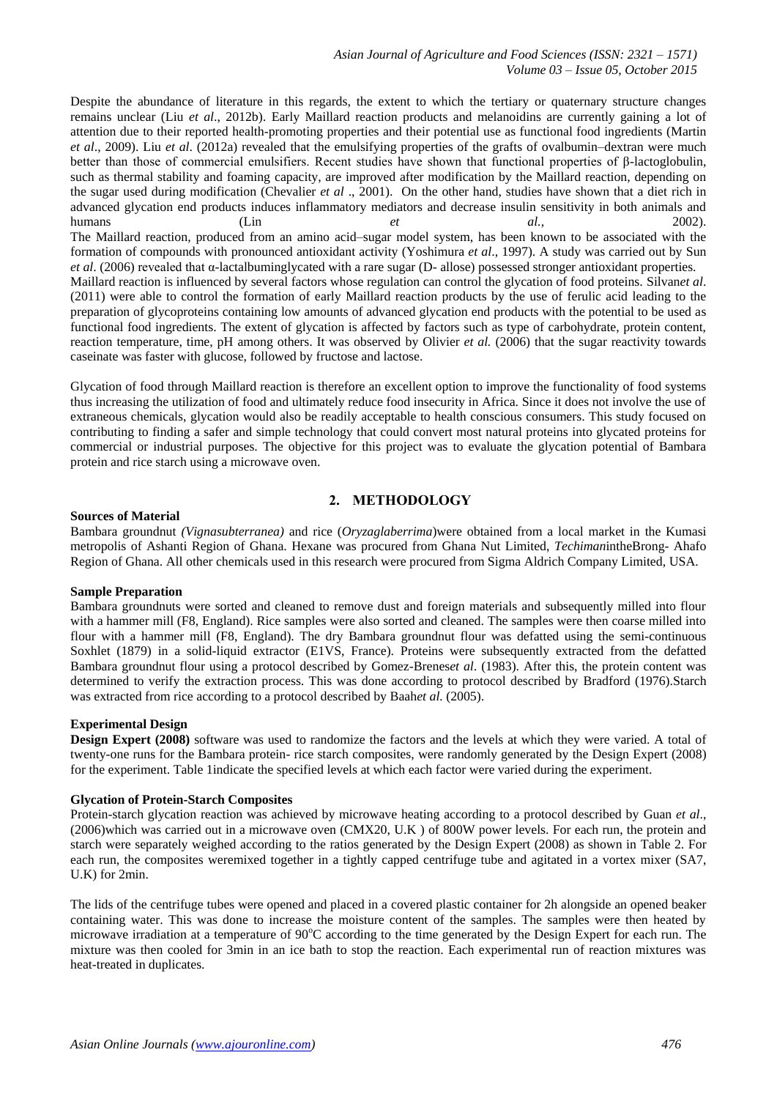Despite the abundance of literature in this regards, the extent to which the tertiary or quaternary structure changes remains unclear (Liu *et al*., 2012b). Early Maillard reaction products and melanoidins are currently gaining a lot of attention due to their reported health-promoting properties and their potential use as functional food ingredients (Martin *et al*., 2009). Liu *et al*. (2012a) revealed that the emulsifying properties of the grafts of ovalbumin–dextran were much better than those of commercial emulsifiers. Recent studies have shown that functional properties of β-lactoglobulin, such as thermal stability and foaming capacity, are improved after modification by the Maillard reaction, depending on the sugar used during modification (Chevalier *et al* ., 2001). On the other hand, studies have shown that a diet rich in advanced glycation end products induces inflammatory mediators and decrease insulin sensitivity in both animals and humans (Lin *et al.,* 2002). The Maillard reaction, produced from an amino acid–sugar model system, has been known to be associated with the formation of compounds with pronounced antioxidant activity (Yoshimura *et al*., 1997). A study was carried out by Sun *et al*. (2006) revealed that α-lactalbuminglycated with a rare sugar (D- allose) possessed stronger antioxidant properties. Maillard reaction is influenced by several factors whose regulation can control the glycation of food proteins. Silvan*et al*. (2011) were able to control the formation of early Maillard reaction products by the use of ferulic acid leading to the preparation of glycoproteins containing low amounts of advanced glycation end products with the potential to be used as functional food ingredients. The extent of glycation is affected by factors such as type of carbohydrate, protein content, reaction temperature, time, pH among others. It was observed by Olivier *et al.* (2006) that the sugar reactivity towards caseinate was faster with glucose, followed by fructose and lactose.

Glycation of food through Maillard reaction is therefore an excellent option to improve the functionality of food systems thus increasing the utilization of food and ultimately reduce food insecurity in Africa. Since it does not involve the use of extraneous chemicals, glycation would also be readily acceptable to health conscious consumers. This study focused on contributing to finding a safer and simple technology that could convert most natural proteins into glycated proteins for commercial or industrial purposes. The objective for this project was to evaluate the glycation potential of Bambara protein and rice starch using a microwave oven.

# **2. METHODOLOGY**

#### **Sources of Material**

Bambara groundnut *(Vignasubterranea)* and rice (*Oryzaglaberrima*)were obtained from a local market in the Kumasi metropolis of Ashanti Region of Ghana. Hexane was procured from Ghana Nut Limited, *Techiman*intheBrong- Ahafo Region of Ghana. All other chemicals used in this research were procured from Sigma Aldrich Company Limited, USA.

#### **Sample Preparation**

Bambara groundnuts were sorted and cleaned to remove dust and foreign materials and subsequently milled into flour with a hammer mill (F8, England). Rice samples were also sorted and cleaned. The samples were then coarse milled into flour with a hammer mill (F8, England). The dry Bambara groundnut flour was defatted using the semi-continuous Soxhlet (1879) in a solid-liquid extractor (E1VS, France). Proteins were subsequently extracted from the defatted Bambara groundnut flour using a protocol described by Gomez-Brenes*et al*. (1983). After this, the protein content was determined to verify the extraction process. This was done according to protocol described by Bradford (1976).Starch was extracted from rice according to a protocol described by Baah*et al.* (2005).

## **Experimental Design**

**Design Expert (2008)** software was used to randomize the factors and the levels at which they were varied. A total of twenty-one runs for the Bambara protein- rice starch composites, were randomly generated by the Design Expert (2008) for the experiment. Table 1indicate the specified levels at which each factor were varied during the experiment.

#### **Glycation of Protein-Starch Composites**

Protein-starch glycation reaction was achieved by microwave heating according to a protocol described by Guan *et al*., (2006)which was carried out in a microwave oven (CMX20, U.K ) of 800W power levels. For each run, the protein and starch were separately weighed according to the ratios generated by the Design Expert (2008) as shown in Table 2. For each run, the composites weremixed together in a tightly capped centrifuge tube and agitated in a vortex mixer (SA7, U.K) for 2min.

The lids of the centrifuge tubes were opened and placed in a covered plastic container for 2h alongside an opened beaker containing water. This was done to increase the moisture content of the samples. The samples were then heated by microwave irradiation at a temperature of  $90^{\circ}$ C according to the time generated by the Design Expert for each run. The mixture was then cooled for 3min in an ice bath to stop the reaction. Each experimental run of reaction mixtures was heat-treated in duplicates.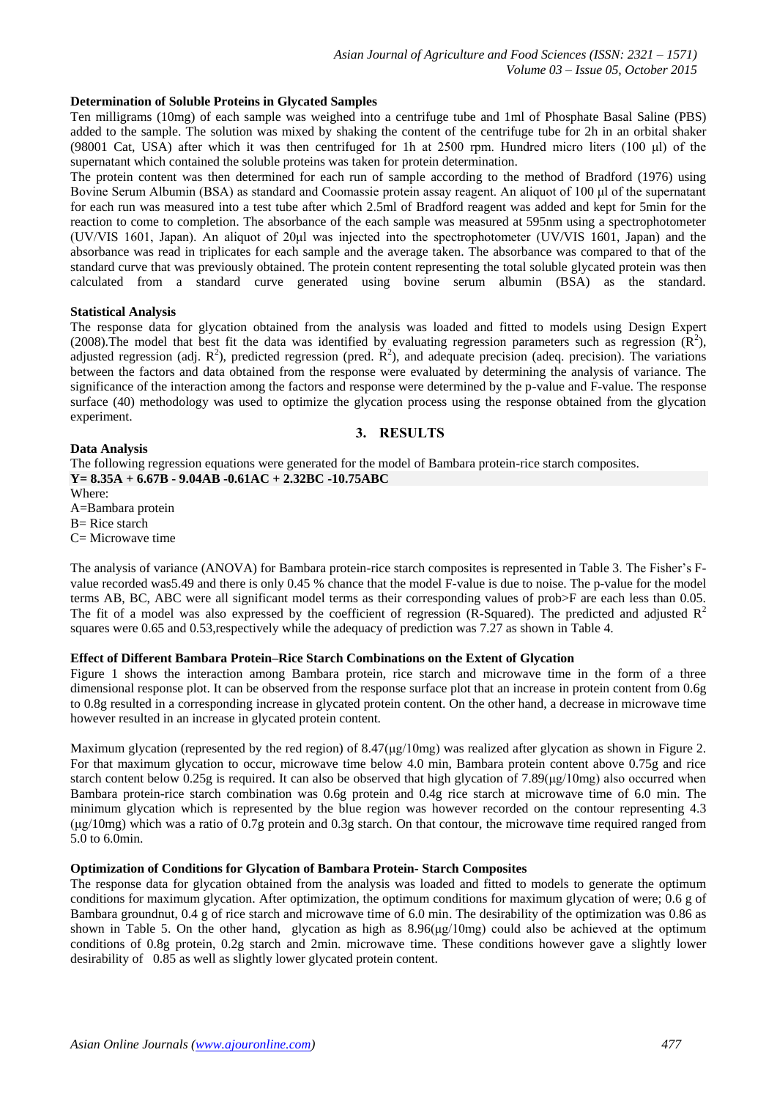#### **Determination of Soluble Proteins in Glycated Samples**

Ten milligrams (10mg) of each sample was weighed into a centrifuge tube and 1ml of Phosphate Basal Saline (PBS) added to the sample. The solution was mixed by shaking the content of the centrifuge tube for 2h in an orbital shaker (98001 Cat, USA) after which it was then centrifuged for 1h at 2500 rpm. Hundred micro liters (100 μl) of the supernatant which contained the soluble proteins was taken for protein determination.

The protein content was then determined for each run of sample according to the method of Bradford (1976) using Bovine Serum Albumin (BSA) as standard and Coomassie protein assay reagent. An aliquot of 100 μl of the supernatant for each run was measured into a test tube after which 2.5ml of Bradford reagent was added and kept for 5min for the reaction to come to completion. The absorbance of the each sample was measured at 595nm using a spectrophotometer (UV/VIS 1601, Japan). An aliquot of 20μl was injected into the spectrophotometer (UV/VIS 1601, Japan) and the absorbance was read in triplicates for each sample and the average taken. The absorbance was compared to that of the standard curve that was previously obtained. The protein content representing the total soluble glycated protein was then calculated from a standard curve generated using bovine serum albumin (BSA) as the standard.

#### **Statistical Analysis**

The response data for glycation obtained from the analysis was loaded and fitted to models using Design Expert (2008). The model that best fit the data was identified by evaluating regression parameters such as regression  $(\mathbf{R}^2)$ , adjusted regression (adj.  $R^2$ ), predicted regression (pred.  $R^2$ ), and adequate precision (adeq. precision). The variations between the factors and data obtained from the response were evaluated by determining the analysis of variance. The significance of the interaction among the factors and response were determined by the p-value and F-value. The response surface (40) methodology was used to optimize the glycation process using the response obtained from the glycation experiment.

## **3. RESULTS**

#### **Data Analysis**

The following regression equations were generated for the model of Bambara protein-rice starch composites. **Y= 8.35A + 6.67B - 9.04AB -0.61AC + 2.32BC -10.75ABC**

Where:

A=Bambara protein

 $B=$  Rice starch

 $C=$  Microwave time

The analysis of variance (ANOVA) for Bambara protein-rice starch composites is represented in Table 3. The Fisher's Fvalue recorded was5.49 and there is only 0.45 % chance that the model F-value is due to noise. The p-value for the model terms AB, BC, ABC were all significant model terms as their corresponding values of prob>F are each less than 0.05. The fit of a model was also expressed by the coefficient of regression (R-Squared). The predicted and adjusted  $R<sup>2</sup>$ squares were 0.65 and 0.53,respectively while the adequacy of prediction was 7.27 as shown in Table 4.

#### **Effect of Different Bambara Protein–Rice Starch Combinations on the Extent of Glycation**

Figure 1 shows the interaction among Bambara protein, rice starch and microwave time in the form of a three dimensional response plot. It can be observed from the response surface plot that an increase in protein content from 0.6g to 0.8g resulted in a corresponding increase in glycated protein content. On the other hand, a decrease in microwave time however resulted in an increase in glycated protein content.

Maximum glycation (represented by the red region) of 8.47(μg/10mg) was realized after glycation as shown in Figure 2. For that maximum glycation to occur, microwave time below 4.0 min, Bambara protein content above 0.75g and rice starch content below 0.25g is required. It can also be observed that high glycation of  $7.89(\mu g/10mg)$  also occurred when Bambara protein-rice starch combination was 0.6g protein and 0.4g rice starch at microwave time of 6.0 min. The minimum glycation which is represented by the blue region was however recorded on the contour representing 4.3 (μg/10mg) which was a ratio of 0.7g protein and 0.3g starch. On that contour, the microwave time required ranged from 5.0 to 6.0min.

#### **Optimization of Conditions for Glycation of Bambara Protein- Starch Composites**

The response data for glycation obtained from the analysis was loaded and fitted to models to generate the optimum conditions for maximum glycation. After optimization, the optimum conditions for maximum glycation of were; 0.6 g of Bambara groundnut, 0.4 g of rice starch and microwave time of 6.0 min. The desirability of the optimization was 0.86 as shown in Table 5. On the other hand, glycation as high as  $8.96\mu\text{g}/10\text{mg}$ ) could also be achieved at the optimum conditions of 0.8g protein, 0.2g starch and 2min. microwave time. These conditions however gave a slightly lower desirability of 0.85 as well as slightly lower glycated protein content.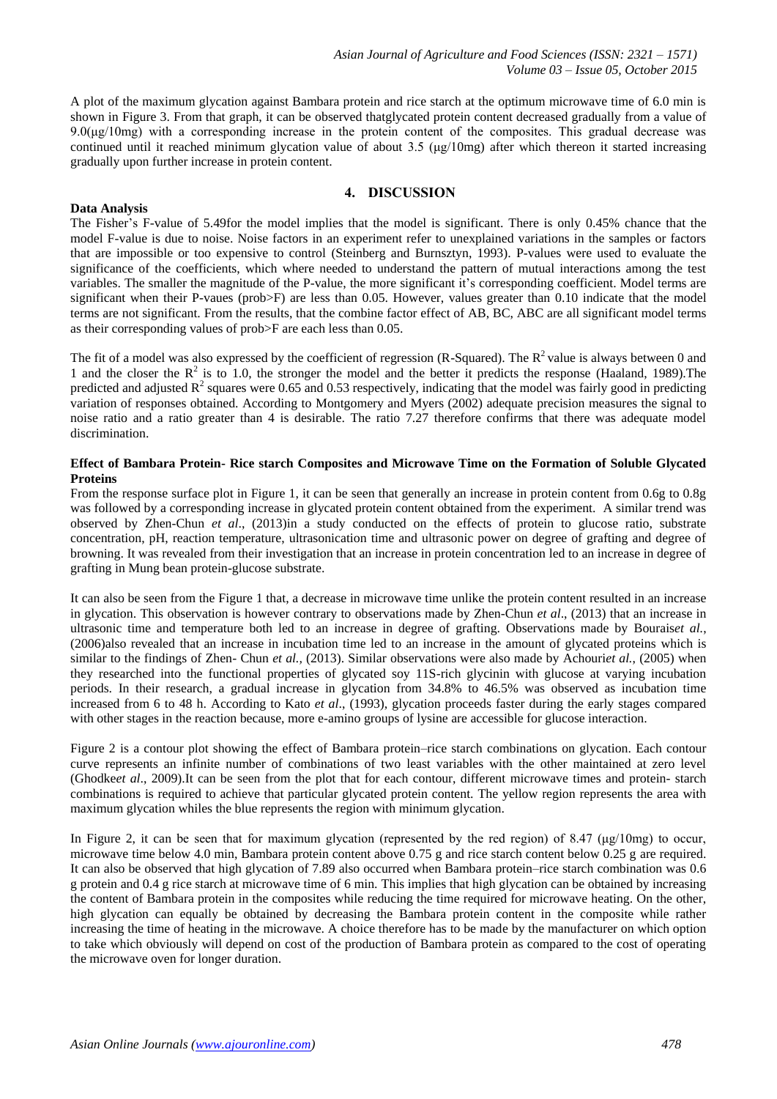A plot of the maximum glycation against Bambara protein and rice starch at the optimum microwave time of 6.0 min is shown in Figure 3. From that graph, it can be observed thatglycated protein content decreased gradually from a value of  $9.0(\mu g/10mg)$  with a corresponding increase in the protein content of the composites. This gradual decrease was continued until it reached minimum glycation value of about 3.5 ( $\mu$ g/10mg) after which thereon it started increasing gradually upon further increase in protein content.

## **4. DISCUSSION**

## **Data Analysis**

The Fisher's F-value of 5.49for the model implies that the model is significant. There is only 0.45% chance that the model F-value is due to noise. Noise factors in an experiment refer to unexplained variations in the samples or factors that are impossible or too expensive to control (Steinberg and Burnsztyn, 1993). P-values were used to evaluate the significance of the coefficients, which where needed to understand the pattern of mutual interactions among the test variables. The smaller the magnitude of the P-value, the more significant it's corresponding coefficient. Model terms are significant when their P-vaues (prob>F) are less than 0.05. However, values greater than 0.10 indicate that the model terms are not significant. From the results, that the combine factor effect of AB, BC, ABC are all significant model terms as their corresponding values of prob>F are each less than 0.05.

The fit of a model was also expressed by the coefficient of regression (R-Squared). The  $R^2$  value is always between 0 and 1 and the closer the  $R^2$  is to 1.0, the stronger the model and the better it predicts the response (Haaland, 1989). The predicted and adjusted  $\mathbb{R}^2$  squares were 0.65 and 0.53 respectively, indicating that the model was fairly good in predicting variation of responses obtained. According to Montgomery and Myers (2002) adequate precision measures the signal to noise ratio and a ratio greater than 4 is desirable. The ratio 7.27 therefore confirms that there was adequate model discrimination.

## **Effect of Bambara Protein- Rice starch Composites and Microwave Time on the Formation of Soluble Glycated Proteins**

From the response surface plot in Figure 1, it can be seen that generally an increase in protein content from 0.6g to 0.8g was followed by a corresponding increase in glycated protein content obtained from the experiment. A similar trend was observed by Zhen-Chun *et al*., (2013)in a study conducted on the effects of protein to glucose ratio, substrate concentration, pH, reaction temperature, ultrasonication time and ultrasonic power on degree of grafting and degree of browning. It was revealed from their investigation that an increase in protein concentration led to an increase in degree of grafting in Mung bean protein-glucose substrate.

It can also be seen from the Figure 1 that, a decrease in microwave time unlike the protein content resulted in an increase in glycation. This observation is however contrary to observations made by Zhen-Chun *et al*., (2013) that an increase in ultrasonic time and temperature both led to an increase in degree of grafting. Observations made by Bourais*et al.*, (2006)also revealed that an increase in incubation time led to an increase in the amount of glycated proteins which is similar to the findings of Zhen- Chun *et al.,* (2013). Similar observations were also made by Achouri*et al.*, (2005) when they researched into the functional properties of glycated soy 11S-rich glycinin with glucose at varying incubation periods. In their research, a gradual increase in glycation from 34.8% to 46.5% was observed as incubation time increased from 6 to 48 h. According to Kato *et al*., (1993), glycation proceeds faster during the early stages compared with other stages in the reaction because, more e-amino groups of lysine are accessible for glucose interaction.

Figure 2 is a contour plot showing the effect of Bambara protein–rice starch combinations on glycation. Each contour curve represents an infinite number of combinations of two least variables with the other maintained at zero level (Ghodke*et al*., 2009).It can be seen from the plot that for each contour, different microwave times and protein- starch combinations is required to achieve that particular glycated protein content. The yellow region represents the area with maximum glycation whiles the blue represents the region with minimum glycation.

In Figure 2, it can be seen that for maximum glycation (represented by the red region) of 8.47 (μg/10mg) to occur, microwave time below 4.0 min, Bambara protein content above 0.75 g and rice starch content below 0.25 g are required. It can also be observed that high glycation of 7.89 also occurred when Bambara protein–rice starch combination was 0.6 g protein and 0.4 g rice starch at microwave time of 6 min. This implies that high glycation can be obtained by increasing the content of Bambara protein in the composites while reducing the time required for microwave heating. On the other, high glycation can equally be obtained by decreasing the Bambara protein content in the composite while rather increasing the time of heating in the microwave. A choice therefore has to be made by the manufacturer on which option to take which obviously will depend on cost of the production of Bambara protein as compared to the cost of operating the microwave oven for longer duration.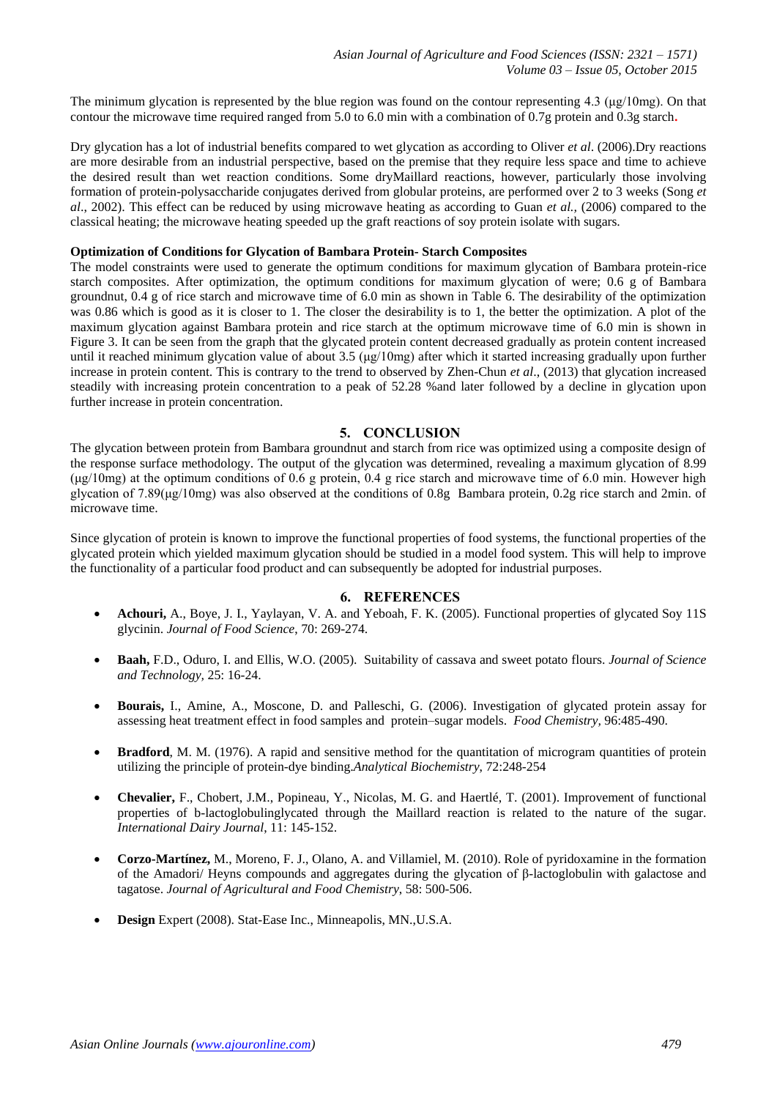The minimum glycation is represented by the blue region was found on the contour representing 4.3 (μg/10mg). On that contour the microwave time required ranged from 5.0 to 6.0 min with a combination of 0.7g protein and 0.3g starch**.**

Dry glycation has a lot of industrial benefits compared to wet glycation as according to Oliver *et al*. (2006).Dry reactions are more desirable from an industrial perspective, based on the premise that they require less space and time to achieve the desired result than wet reaction conditions. Some dryMaillard reactions, however, particularly those involving formation of protein-polysaccharide conjugates derived from globular proteins, are performed over 2 to 3 weeks (Song *et al*., 2002). This effect can be reduced by using microwave heating as according to Guan *et al.,* (2006) compared to the classical heating; the microwave heating speeded up the graft reactions of soy protein isolate with sugars.

## **Optimization of Conditions for Glycation of Bambara Protein- Starch Composites**

The model constraints were used to generate the optimum conditions for maximum glycation of Bambara protein-rice starch composites. After optimization, the optimum conditions for maximum glycation of were; 0.6 g of Bambara groundnut, 0.4 g of rice starch and microwave time of 6.0 min as shown in Table 6. The desirability of the optimization was 0.86 which is good as it is closer to 1. The closer the desirability is to 1, the better the optimization. A plot of the maximum glycation against Bambara protein and rice starch at the optimum microwave time of 6.0 min is shown in Figure 3. It can be seen from the graph that the glycated protein content decreased gradually as protein content increased until it reached minimum glycation value of about 3.5 (μg/10mg) after which it started increasing gradually upon further increase in protein content. This is contrary to the trend to observed by Zhen-Chun *et al*., (2013) that glycation increased steadily with increasing protein concentration to a peak of 52.28 %and later followed by a decline in glycation upon further increase in protein concentration.

## **5. CONCLUSION**

The glycation between protein from Bambara groundnut and starch from rice was optimized using a composite design of the response surface methodology. The output of the glycation was determined, revealing a maximum glycation of 8.99 (μg/10mg) at the optimum conditions of 0.6 g protein, 0.4 g rice starch and microwave time of 6.0 min. However high glycation of 7.89( $\mu$ g/10mg) was also observed at the conditions of 0.8g Bambara protein, 0.2g rice starch and 2min. of microwave time.

Since glycation of protein is known to improve the functional properties of food systems, the functional properties of the glycated protein which yielded maximum glycation should be studied in a model food system. This will help to improve the functionality of a particular food product and can subsequently be adopted for industrial purposes.

## **6. REFERENCES**

- **Achouri,** A., Boye, J. I., Yaylayan, V. A. and Yeboah, F. K. (2005). Functional properties of glycated Soy 11S glycinin. *Journal of Food Science*, 70: 269-274.
- **Baah,** F.D., Oduro, I. and Ellis, W.O. (2005). Suitability of cassava and sweet potato flours. *Journal of Science and Technology,* 25: 16-24.
- **Bourais,** I., Amine, A., Moscone, D. and Palleschi, G. (2006). Investigation of glycated protein assay for assessing heat treatment effect in food samples and protein–sugar models. *Food Chemistry,* 96:485-490.
- **Bradford**, M. M. (1976). A rapid and sensitive method for the quantitation of microgram quantities of protein utilizing the principle of protein-dye binding.*Analytical Biochemistry*, 72:248-254
- **Chevalier,** F., Chobert, J.M., Popineau, Y., Nicolas, M. G. and Haertlé, T. (2001). Improvement of functional properties of b-lactoglobulinglycated through the Maillard reaction is related to the nature of the sugar. *International Dairy Journal*, 11: 145-152.
- **Corzo-Martínez,** M., Moreno, F. J., Olano, A. and Villamiel, M. (2010). Role of pyridoxamine in the formation of the Amadori/ Heyns compounds and aggregates during the glycation of β-lactoglobulin with galactose and tagatose. *Journal of Agricultural and Food Chemistry*, 58: 500-506.
- **Design** Expert (2008). Stat-Ease Inc., Minneapolis, MN.,U.S.A.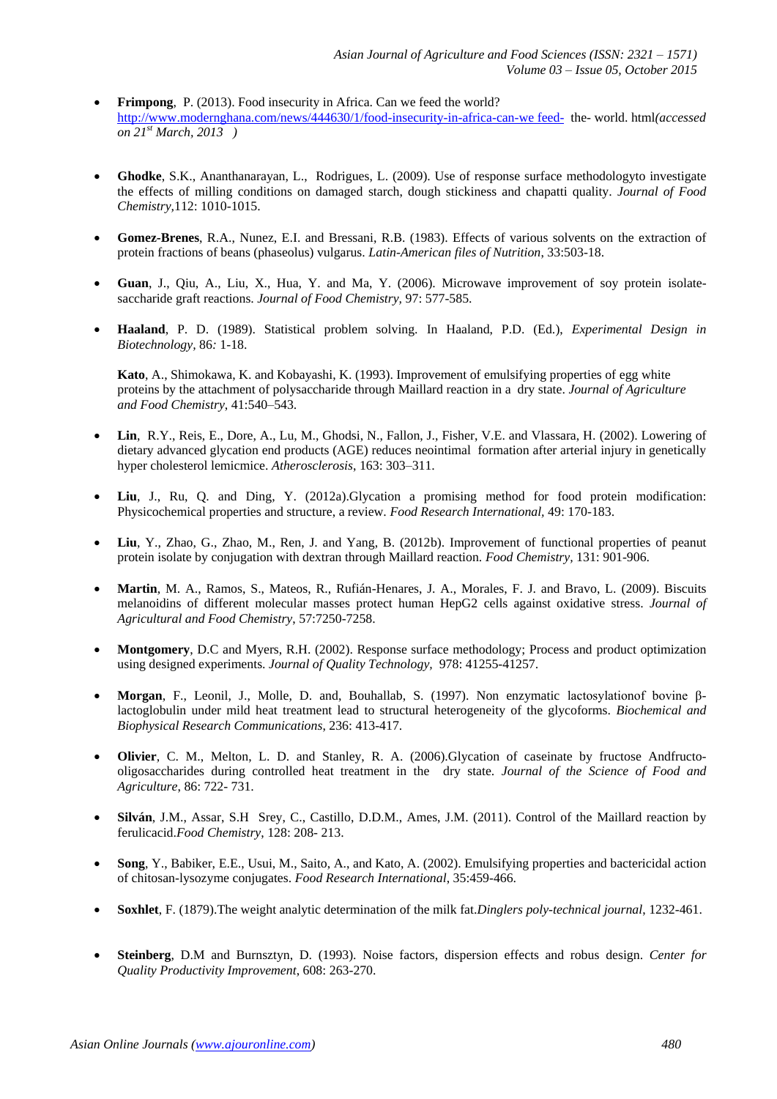- **Frimpong**, P. (2013). Food insecurity in Africa. Can we feed the world? [http://www.modernghana.com/news/444630/1/food-insecurity-in-africa-can-we feed-](http://www.modernghana.com/news/444630/1/food-insecurity-in-africa-can-we%20feed-) the- world. html*(accessed on 21st March, 2013 )*
- **Ghodke**, S.K., Ananthanarayan, L., Rodrigues, L. (2009). Use of response surface methodologyto investigate the effects of milling conditions on damaged starch, dough stickiness and chapatti quality. *Journal of Food Chemistry,*112: 1010-1015.
- **Gomez-Brenes**, R.A., Nunez, E.I. and Bressani, R.B. (1983). Effects of various solvents on the extraction of protein fractions of beans (phaseolus) vulgarus. *Latin-American files of Nutrition*, 33:503-18.
- **Guan**, J., Qiu, A., Liu, X., Hua, Y. and Ma, Y. (2006). Microwave improvement of soy protein isolatesaccharide graft reactions. *Journal of Food Chemistry,* 97: 577-585.
- **Haaland**, P. D. (1989). Statistical problem solving. In Haaland, P.D. (Ed.), *Experimental Design in Biotechnology,* 86*:* 1-18.

**Kato**, A., Shimokawa, K. and Kobayashi, K. (1993). Improvement of emulsifying properties of egg white proteins by the attachment of polysaccharide through Maillard reaction in a dry state. *Journal of Agriculture and Food Chemistry*, 41:540–543.

- **Lin**, R.Y., Reis, E., Dore, A., Lu, M., Ghodsi, N., Fallon, J., Fisher, V.E. and Vlassara, H. (2002). Lowering of dietary advanced glycation end products (AGE) reduces neointimal formation after arterial injury in genetically hyper cholesterol lemicmice. *Atherosclerosis*, 163: 303–311.
- **Liu**, J., Ru, Q. and Ding, Y. (2012a).Glycation a promising method for food protein modification: Physicochemical properties and structure, a review. *Food Research International,* 49: 170-183.
- **Liu**, Y., Zhao, G., Zhao, M., Ren, J. and Yang, B. (2012b). Improvement of functional properties of peanut protein isolate by conjugation with dextran through Maillard reaction. *Food Chemistry,* 131: 901-906.
- **Martin**, M. A., Ramos, S., Mateos, R., Rufián-Henares, J. A., Morales, F. J. and Bravo, L. (2009). Biscuits melanoidins of different molecular masses protect human HepG2 cells against oxidative stress. *Journal of Agricultural and Food Chemistry*, 57:7250-7258.
- **Montgomery**, D.C and Myers, R.H. (2002). Response surface methodology; Process and product optimization using designed experiments. *Journal of Quality Technology,* 978: 41255-41257.
- **Morgan**, F., Leonil, J., Molle, D. and, Bouhallab, S. (1997). Non enzymatic lactosylationof bovine βlactoglobulin under mild heat treatment lead to structural heterogeneity of the glycoforms. *Biochemical and Biophysical Research Communications*, 236: 413-417.
- **Olivier**, C. M., Melton, L. D. and Stanley, R. A. (2006).Glycation of caseinate by fructose Andfructooligosaccharides during controlled heat treatment in the dry state. *Journal of the Science of Food and Agriculture*, 86: 722- 731.
- **Silván**, J.M., Assar, S.H Srey, C., Castillo, D.D.M., Ames, J.M. (2011). Control of the Maillard reaction by ferulicacid.*Food Chemistry*, 128: 208- 213.
- **Song**, Y., Babiker, E.E., Usui, M., Saito, A., and Kato, A. (2002). Emulsifying properties and bactericidal action of chitosan-lysozyme conjugates. *Food Research International*, 35:459-466.
- **Soxhlet**, F. (1879).The weight analytic determination of the milk fat.*Dinglers poly-technical journal*, 1232-461.
- **Steinberg**, D.M and Burnsztyn, D. (1993). Noise factors, dispersion effects and robus design. *Center for Quality Productivity Improvement*, 608: 263-270.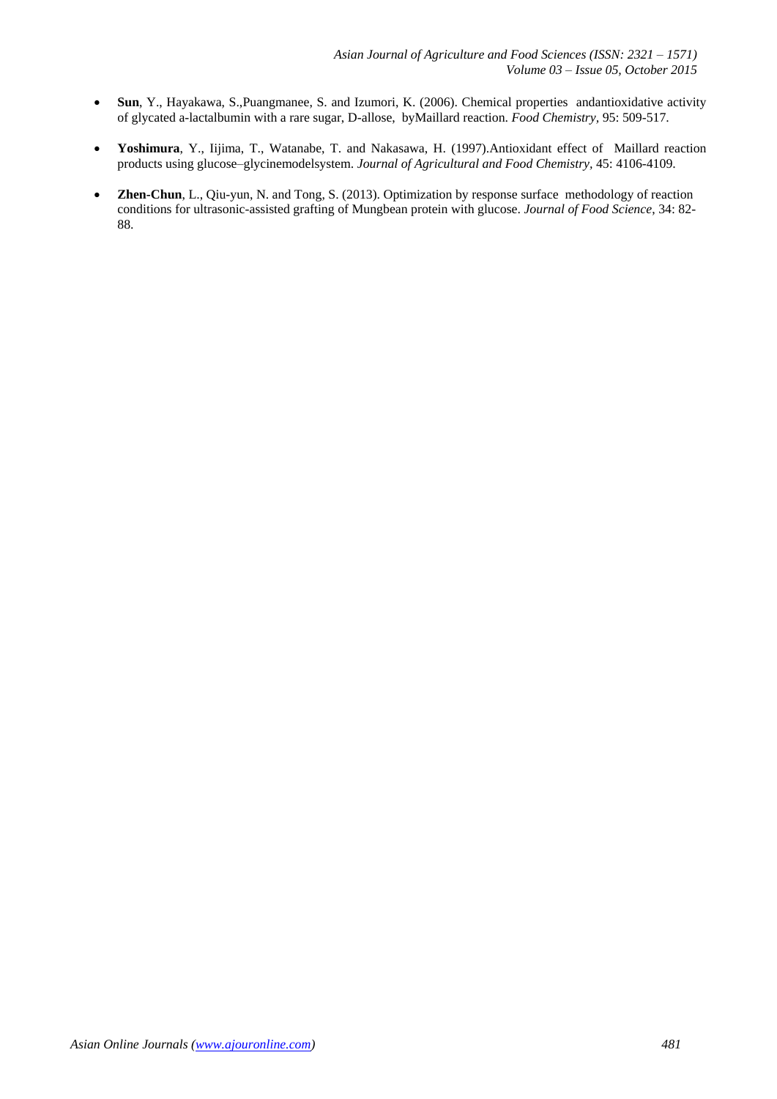- **Sun**, Y., Hayakawa, S.,Puangmanee, S. and Izumori, K. (2006). Chemical properties andantioxidative activity of glycated a-lactalbumin with a rare sugar, D-allose, byMaillard reaction. *Food Chemistry,* 95: 509-517.
- **Yoshimura**, Y., Iijima, T., Watanabe, T. and Nakasawa, H. (1997).Antioxidant effect of Maillard reaction products using glucose–glycinemodelsystem. *Journal of Agricultural and Food Chemistry,* 45: 4106-4109.
- **Zhen-Chun**, L., Qiu-yun, N. and Tong, S. (2013). Optimization by response surface methodology of reaction conditions for ultrasonic-assisted grafting of Mungbean protein with glucose. *Journal of Food Science*, 34: 82- 88.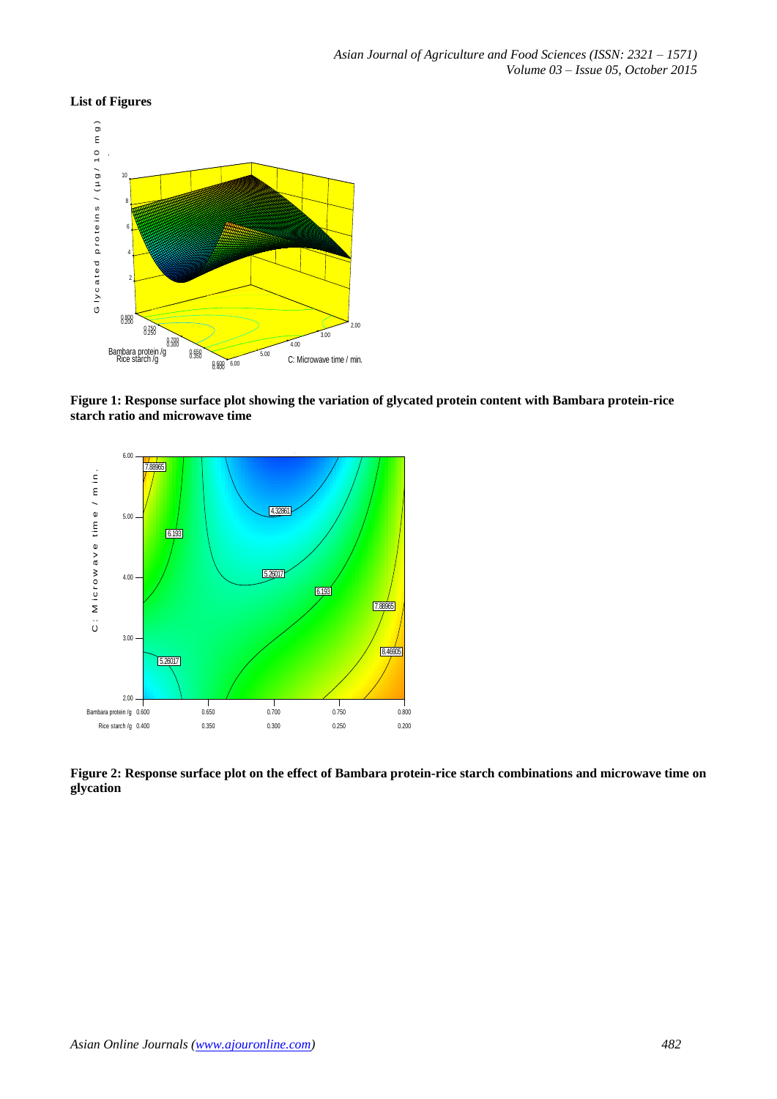## **List of Figures**



**Figure 1: Response surface plot showing the variation of glycated protein content with Bambara protein-rice starch ratio and microwave time** 



**Figure 2: Response surface plot on the effect of Bambara protein-rice starch combinations and microwave time on glycation**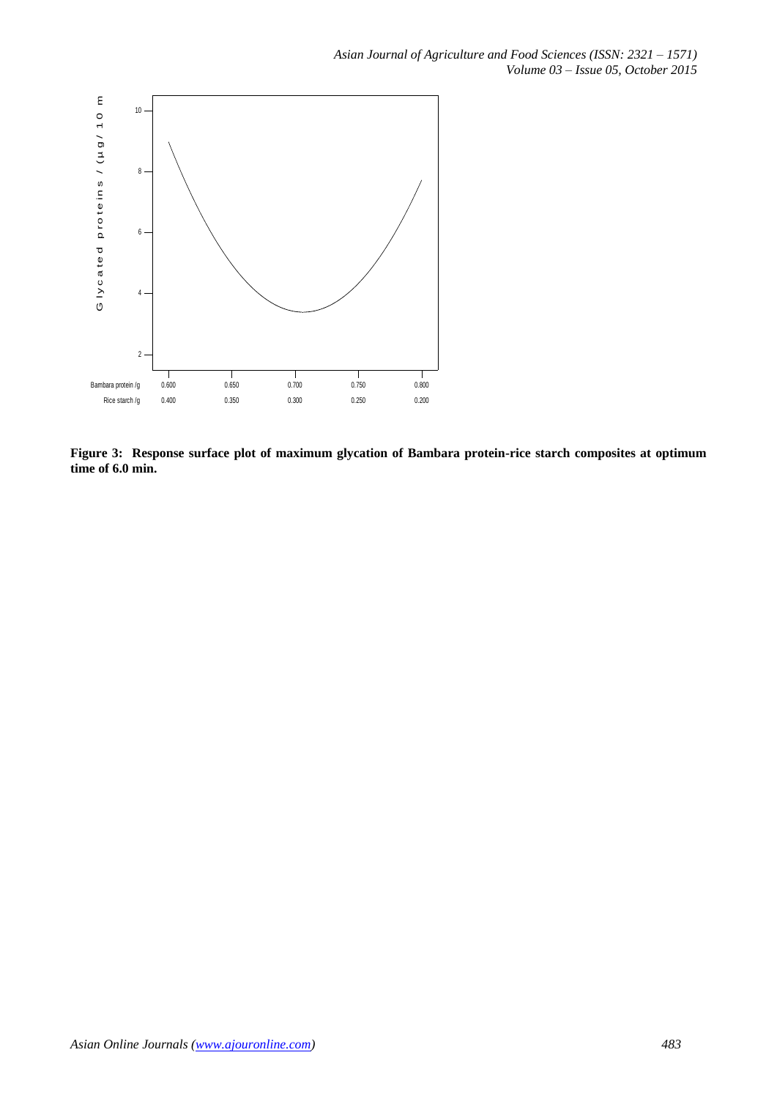

**Figure 3: Response surface plot of maximum glycation of Bambara protein-rice starch composites at optimum time of 6.0 min.**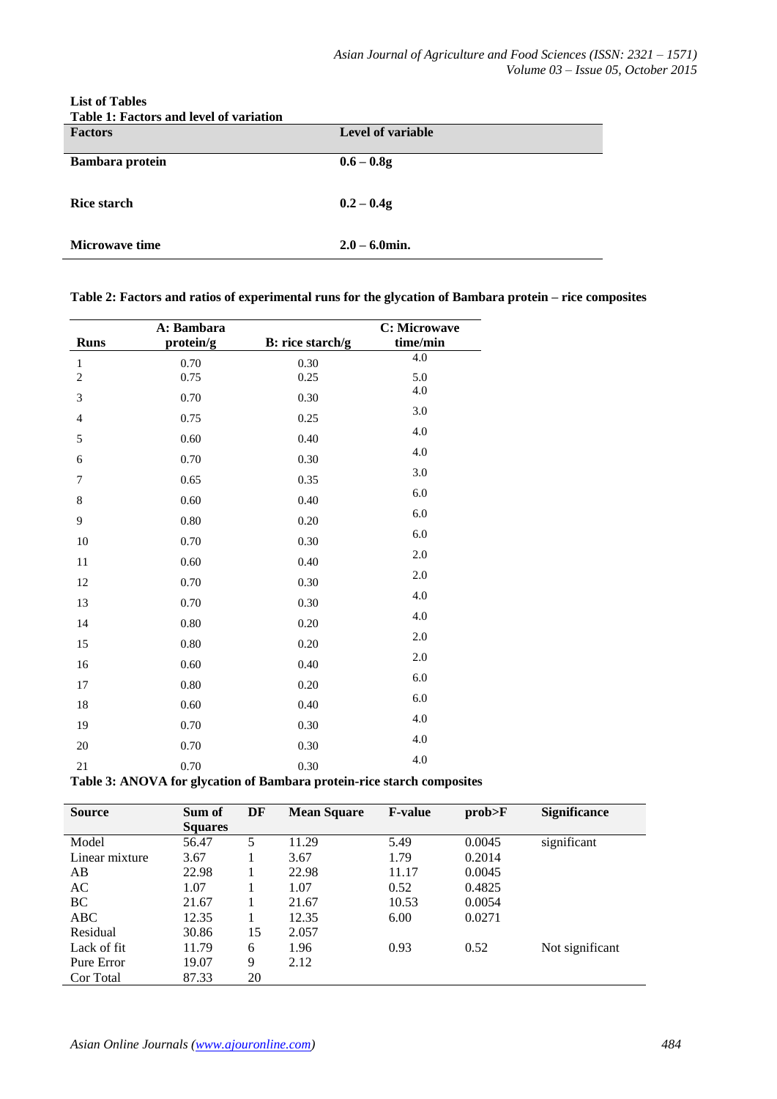| Table 1: Factors and level of variation<br><b>Factors</b> | Level of variable |
|-----------------------------------------------------------|-------------------|
| <b>Bambara</b> protein                                    | $0.6 - 0.8g$      |
| <b>Rice starch</b>                                        | $0.2 - 0.4g$      |
| <b>Microwave time</b>                                     | $2.0 - 6.0$ min.  |

**List of Tables**

**Table 2: Factors and ratios of experimental runs for the glycation of Bambara protein – rice composites**

|                | A: Bambara                                 | C: Microwave                      |          |
|----------------|--------------------------------------------|-----------------------------------|----------|
| <b>Runs</b>    | protein/g                                  | B: rice starch/g                  | time/min |
| $\,1$          | 0.70                                       | 0.30                              | 4.0      |
| $\sqrt{2}$     | 0.75                                       | 0.25                              | 5.0      |
| 3              | 0.70                                       | 0.30                              | 4.0      |
| $\overline{4}$ | 0.75                                       | 0.25                              | 3.0      |
| 5              | 0.60                                       | 0.40                              | 4.0      |
| 6              | 0.70                                       | 0.30                              | 4.0      |
| $\overline{7}$ | 0.65                                       | 0.35                              | 3.0      |
| $\,8\,$        | 0.60                                       | 0.40                              | 6.0      |
| 9              | 0.80                                       | 0.20                              | 6.0      |
| 10             | 0.70                                       | 0.30                              | 6.0      |
| 11             | 0.60                                       | 0.40                              | 2.0      |
| 12             | 0.70                                       | 0.30                              | 2.0      |
| 13             | 0.70                                       | 0.30                              | 4.0      |
| 14             | 0.80                                       | 0.20                              | 4.0      |
| 15             | 0.80                                       | 0.20                              | 2.0      |
| 16             | 0.60                                       | 0.40                              | 2.0      |
| 17             | 0.80                                       | 0.20                              | 6.0      |
| 18             | 0.60                                       | 0.40                              | 6.0      |
| 19             | 0.70                                       | $0.30\,$                          | 4.0      |
| 20             | 0.70                                       | $0.30\,$                          | 4.0      |
| 21             | 0.70                                       | 0.30                              | 4.0      |
| m. l. l.       | $-42 -$<br>A <b>NTANTA</b><br>$\mathbf{e}$ | $\mathbf{r}$ $\mathbf{r}$<br>. 1. |          |

**Table 3: ANOVA for glycation of Bambara protein-rice starch composites**

| <b>Source</b>  | Sum of         | DF | <b>Mean Square</b> | <b>F-value</b> | prob>F | <b>Significance</b> |
|----------------|----------------|----|--------------------|----------------|--------|---------------------|
|                | <b>Squares</b> |    |                    |                |        |                     |
| Model          | 56.47          | 5  | 11.29              | 5.49           | 0.0045 | significant         |
| Linear mixture | 3.67           |    | 3.67               | 1.79           | 0.2014 |                     |
| AB             | 22.98          |    | 22.98              | 11.17          | 0.0045 |                     |
| AC             | 1.07           |    | 1.07               | 0.52           | 0.4825 |                     |
| BC             | 21.67          |    | 21.67              | 10.53          | 0.0054 |                     |
| ABC            | 12.35          |    | 12.35              | 6.00           | 0.0271 |                     |
| Residual       | 30.86          | 15 | 2.057              |                |        |                     |
| Lack of fit    | 11.79          | 6  | 1.96               | 0.93           | 0.52   | Not significant     |
| Pure Error     | 19.07          | 9  | 2.12               |                |        |                     |
| Cor Total      | 87.33          | 20 |                    |                |        |                     |